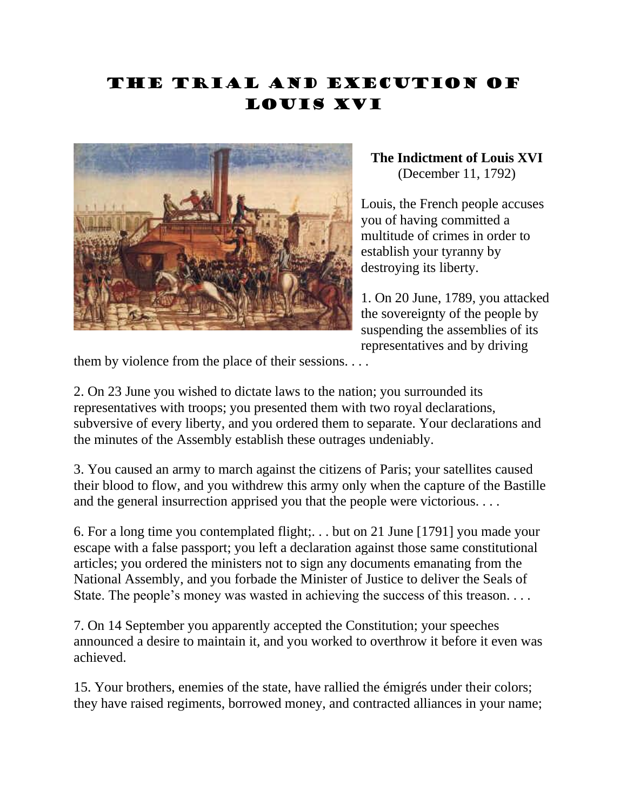## The Trial and Execution of Louis XVI



**The Indictment of Louis XVI**  (December 11, 1792)

Louis, the French people accuses you of having committed a multitude of crimes in order to establish your tyranny by destroying its liberty.

1. On 20 June, 1789, you attacked the sovereignty of the people by suspending the assemblies of its representatives and by driving

them by violence from the place of their sessions. . . .

2. On 23 June you wished to dictate laws to the nation; you surrounded its representatives with troops; you presented them with two royal declarations, subversive of every liberty, and you ordered them to separate. Your declarations and the minutes of the Assembly establish these outrages undeniably.

3. You caused an army to march against the citizens of Paris; your satellites caused their blood to flow, and you withdrew this army only when the capture of the Bastille and the general insurrection apprised you that the people were victorious. . . .

6. For a long time you contemplated flight;. . . but on 21 June [1791] you made your escape with a false passport; you left a declaration against those same constitutional articles; you ordered the ministers not to sign any documents emanating from the National Assembly, and you forbade the Minister of Justice to deliver the Seals of State. The people's money was wasted in achieving the success of this treason. . . .

7. On 14 September you apparently accepted the Constitution; your speeches announced a desire to maintain it, and you worked to overthrow it before it even was achieved.

15. Your brothers, enemies of the state, have rallied the émigrés under their colors; they have raised regiments, borrowed money, and contracted alliances in your name;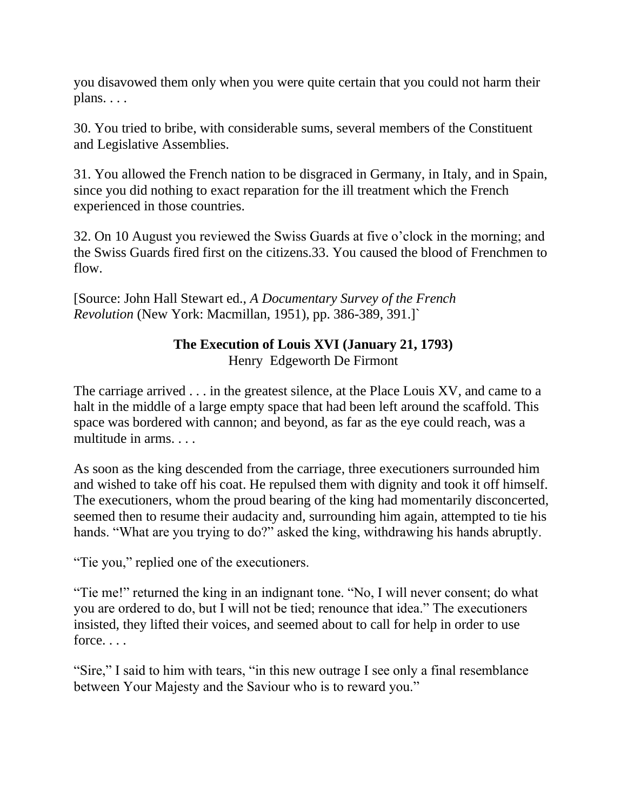you disavowed them only when you were quite certain that you could not harm their plans. . . .

30. You tried to bribe, with considerable sums, several members of the Constituent and Legislative Assemblies.

31. You allowed the French nation to be disgraced in Germany, in Italy, and in Spain, since you did nothing to exact reparation for the ill treatment which the French experienced in those countries.

32. On 10 August you reviewed the Swiss Guards at five o'clock in the morning; and the Swiss Guards fired first on the citizens.33. You caused the blood of Frenchmen to flow.

[Source: John Hall Stewart ed., *A Documentary Survey of the French Revolution* (New York: Macmillan, 1951), pp. 386-389, 391.]`

## **The Execution of Louis XVI (January 21, 1793)**

Henry Edgeworth De Firmont

The carriage arrived . . . in the greatest silence, at the Place Louis XV, and came to a halt in the middle of a large empty space that had been left around the scaffold. This space was bordered with cannon; and beyond, as far as the eye could reach, was a multitude in arms. . . .

As soon as the king descended from the carriage, three executioners surrounded him and wished to take off his coat. He repulsed them with dignity and took it off himself. The executioners, whom the proud bearing of the king had momentarily disconcerted, seemed then to resume their audacity and, surrounding him again, attempted to tie his hands. "What are you trying to do?" asked the king, withdrawing his hands abruptly.

"Tie you," replied one of the executioners.

"Tie me!" returned the king in an indignant tone. "No, I will never consent; do what you are ordered to do, but I will not be tied; renounce that idea." The executioners insisted, they lifted their voices, and seemed about to call for help in order to use force. . . .

"Sire," I said to him with tears, "in this new outrage I see only a final resemblance between Your Majesty and the Saviour who is to reward you."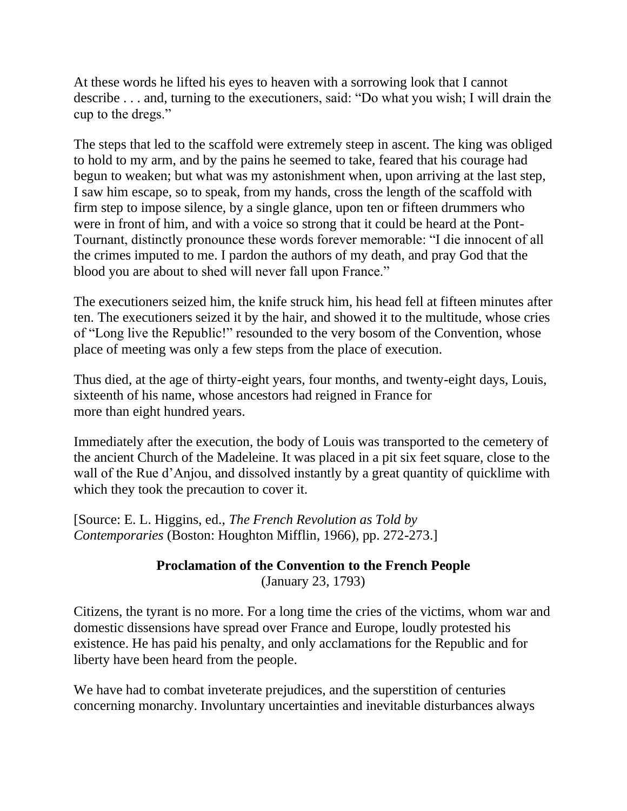At these words he lifted his eyes to heaven with a sorrowing look that I cannot describe . . . and, turning to the executioners, said: "Do what you wish; I will drain the cup to the dregs."

The steps that led to the scaffold were extremely steep in ascent. The king was obliged to hold to my arm, and by the pains he seemed to take, feared that his courage had begun to weaken; but what was my astonishment when, upon arriving at the last step, I saw him escape, so to speak, from my hands, cross the length of the scaffold with firm step to impose silence, by a single glance, upon ten or fifteen drummers who were in front of him, and with a voice so strong that it could be heard at the Pont-Tournant, distinctly pronounce these words forever memorable: "I die innocent of all the crimes imputed to me. I pardon the authors of my death, and pray God that the blood you are about to shed will never fall upon France."

The executioners seized him, the knife struck him, his head fell at fifteen minutes after ten. The executioners seized it by the hair, and showed it to the multitude, whose cries of "Long live the Republic!" resounded to the very bosom of the Convention, whose place of meeting was only a few steps from the place of execution.

Thus died, at the age of thirty-eight years, four months, and twenty-eight days, Louis, sixteenth of his name, whose ancestors had reigned in France for more than eight hundred years.

Immediately after the execution, the body of Louis was transported to the cemetery of the ancient Church of the Madeleine. It was placed in a pit six feet square, close to the wall of the Rue d'Anjou, and dissolved instantly by a great quantity of quicklime with which they took the precaution to cover it.

[Source: E. L. Higgins, ed., *The French Revolution as Told by Contemporaries* (Boston: Houghton Mifflin, 1966), pp. 272-273.]

## **Proclamation of the Convention to the French People** (January 23, 1793)

Citizens, the tyrant is no more. For a long time the cries of the victims, whom war and domestic dissensions have spread over France and Europe, loudly protested his existence. He has paid his penalty, and only acclamations for the Republic and for liberty have been heard from the people.

We have had to combat inveterate prejudices, and the superstition of centuries concerning monarchy. Involuntary uncertainties and inevitable disturbances always